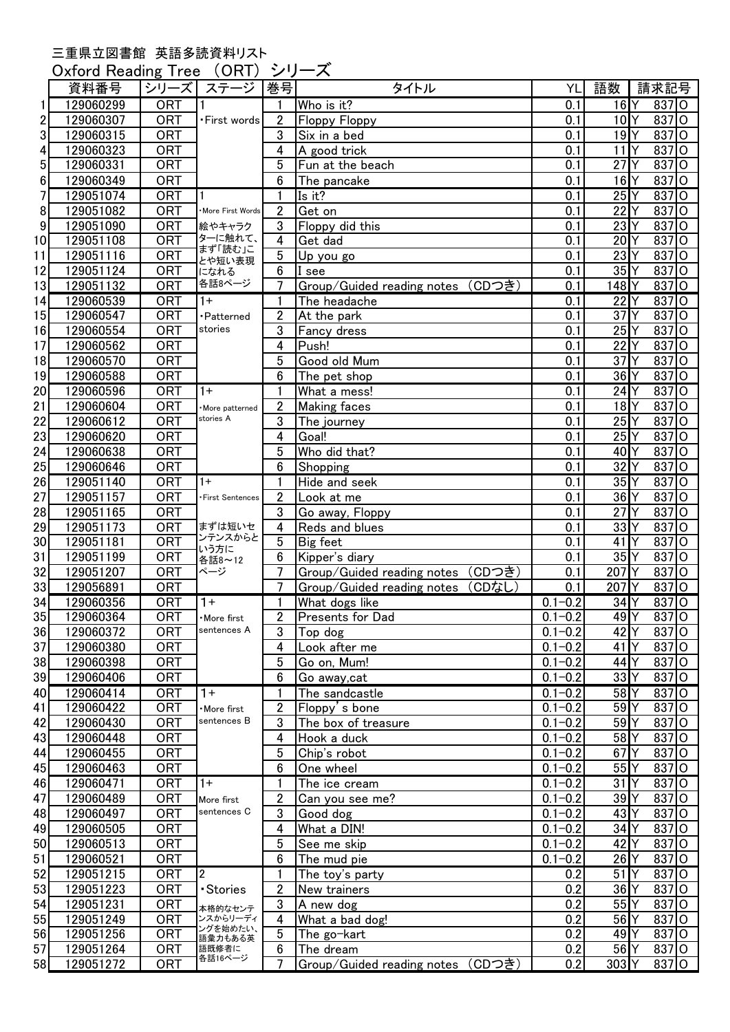## 三重県立図書館 英語多読資料リスト

Oxford Reading Tree (ORT) シリーズ

| <b>ORT</b><br>$16$ <sup>Y</sup><br>$837$ O<br>129060299<br>Who is it?<br>0.1<br>1<br>2<br>10 <sup>1</sup><br><b>ORT</b><br>$\overline{2}$<br>837 O<br>129060307<br><b>Floppy Floppy</b><br>0.1<br>•First words<br>lo<br>3<br>3<br>19 <sup>N</sup><br>129060315<br><b>ORT</b><br>0.1<br>837<br>Six in a bed<br>11<br>lo<br><b>ORT</b><br>837<br>4<br>129060323<br>4<br>A good trick<br>0.1<br><b>ORT</b><br>27<br>l0<br>5<br>129060331<br>5<br>837<br>Fun at the beach<br>0.1<br>Υ<br>$16$ <sup>Y</sup><br>$837$ O<br><b>ORT</b><br>$6\phantom{1}6$<br>0.1<br>6<br>129060349<br>The pancake<br>$25$ <sup>Y</sup><br>837 O<br>7<br>129051074<br><b>ORT</b><br>Is it?<br>0.1<br>1<br>22<br>8<br>129051082<br><b>ORT</b><br>$\overline{2}$<br>0.1<br>837<br>$\circ$<br>Get on<br>More First Words<br>9<br>23<br>837<br>129051090<br><b>ORT</b><br>3<br>0.1<br>Floppy did this<br>O<br>絵やキャラク<br>ターに触れて、<br>20<br>10<br><b>ORT</b><br>0.1<br>837<br>129051108<br>4<br>Get dad<br>O<br>まず「読む」こ<br>$\overline{5}$<br>23<br><b>ORT</b><br>837<br>11<br>0.1<br>129051116<br>$\circ$<br>Up you go<br>とや短い表現<br>35<br>12<br>129051124<br><b>ORT</b><br>6<br>0.1<br>837<br>$\circ$<br>I see<br>になれる<br>各話8ページ<br><b>ORT</b><br>$\overline{7}$<br>Group/Guided reading notes (CDつき)<br>837<br>$\circ$<br>13<br>129051132<br>0.1<br>148<br>129060539<br><b>ORT</b><br>0.1<br>22<br>837<br>$\circ$<br>14<br>$1+$<br>The headache<br>1<br><b>ORT</b><br>37<br>837<br>15<br>129060547<br>$\overline{2}$<br>$\circ$<br>At the park<br>0.1<br>·Patterned<br>stories<br>$25$ <sup>Y</sup><br>837<br>lo<br><b>ORT</b><br>3<br>16<br>129060554<br>0.1<br>Fancy dress<br>4<br>22<br>837<br>lo<br>17<br><b>ORT</b><br>Push!<br>0.1<br>129060562<br><b>ORT</b><br>5<br>37<br>837<br>$\circ$<br>18<br>129060570<br>Good old Mum<br>0.1<br>$36$ <sup><math>Y</math></sup><br>837<br>lo<br><b>ORT</b><br>6<br>0.1<br>19<br>129060588<br>The pet shop<br><b>ORT</b><br>20<br>$\overline{0.1}$<br>24<br>$837$ O<br>129060596<br>$1+$<br>What a mess!<br>1<br>21<br><b>ORT</b><br>$\overline{2}$<br>$18$ <sup>Y</sup><br>837 O<br>0.1<br>129060604<br><b>Making faces</b><br>More patterned<br>stories A<br>$837$ O<br>22<br><b>ORT</b><br>$\mathbf{3}$<br>$25$ <sup>Y</sup><br>129060612<br>0.1<br>The journey<br>23<br>$837$ O<br>$25$ <sup>Y</sup><br>129060620<br><b>ORT</b><br>4<br>Goal!<br>0.1<br>24<br>837 O<br>129060638<br><b>ORT</b><br>5<br>Who did that?<br>40 <sup>1</sup><br>0.1<br>$25 \vert$<br>$32$ <sup>Y</sup><br><b>ORT</b><br>$6\phantom{1}6$<br>837 O<br>129060646<br>Shopping<br>0.1<br>26<br>35 <sup>Y</sup><br>$837$ O<br><b>ORT</b><br>0.1<br>129051140<br>Hide and seek<br>$1+$<br>1<br>27<br>$36$ <sup><math>Y</math></sup><br>837<br>O<br>129051157<br><b>ORT</b><br>$\overline{2}$<br>0.1<br>Look at me<br>First Sentences<br>27<br>28<br>837<br>129051165<br><b>ORT</b><br>3<br>0.1<br>l0<br>Go away, Floppy<br>33<br>29<br><b>ORT</b><br>837<br>129051173<br>まずは短いセ<br>4<br>Reds and blues<br>0.1<br>O<br>ンテンスからと<br><b>ORT</b><br>41<br>30<br>5<br>837<br>Big feet<br>0.1<br>129051181<br>O<br>いう方に<br>31<br>35<br><b>ORT</b><br>837<br>129051199<br>6<br>Kipper's diary<br>0.1<br>$\circ$<br>各話8~12<br>32<br>7<br>207<br>129051207<br><b>ORT</b><br>Group/Guided reading notes (CDつき)<br>837<br>$\circ$<br>ページ<br>0.1<br>(CDなし)<br><b>ORT</b><br>7<br>0.1<br>207<br>837<br>$\circ$<br>129056891<br>Group/Guided reading notes<br><b>ORT</b><br>$0.1 - 0.2$<br>34<br>837<br>129060356<br>$1+$<br>What dogs like<br>$\circ$<br>1<br>837<br>$\circ$<br><b>ORT</b><br>$\overline{2}$<br>Presents for Dad<br>$0.1 - 0.2$<br>49<br>129060364<br>More first<br>129060372<br>sentences A<br>$0.1 - 0.2$<br>42 <sup>Y</sup><br>$837$ O<br><b>ORT</b><br>3<br>Top dog<br>$837$ O<br>$0.1 - 0.2$<br>$41$ <sup>Y</sup><br>129060380<br><b>ORT</b><br>4<br>Look after me<br><b>ORT</b><br>5<br>$0.1 - 0.2$<br>44 <sup>Y</sup><br>837 O<br>129060398<br>Go on, Mum!<br>6<br>33 <sup>1</sup> Y<br>$837$ O<br>129060406<br><b>ORT</b><br>$0.1 - 0.2$<br>Go away, cat<br><b>ORT</b><br>$0.1 - 0.2$<br>58Y<br>129060414<br>$1+$<br>$837$ O<br>1<br>The sandcastle<br>59Y<br>129060422<br><b>ORT</b><br>$\overline{2}$<br>Floppy's bone<br>$0.1 - 0.2$<br>837 O<br>More first<br>sentences B<br>129060430<br><b>ORT</b><br>3<br>$0.1 - 0.2$<br>59Y<br>837 O<br>The box of treasure<br>129060448<br>$0.1 - 0.2$<br>58Y<br>837 O<br><b>ORT</b><br>Hook a duck<br>4<br>837 O<br>129060455<br><b>ORT</b><br>5<br>$0.1 - 0.2$<br>$67$ <sup>Y</sup><br>Chip's robot<br>45<br>$6\phantom{1}6$<br>55 <sup>Y</sup><br>$837$ O<br>129060463<br><b>ORT</b><br>$0.1 - 0.2$<br>One wheel<br>$0.1 - 0.2$<br>$31$ <sup><math>\gamma</math></sup><br>$837$ O<br>46<br>129060471<br><b>ORT</b><br>The ice cream<br>$1+$<br>1<br>47<br>129060489<br>$0.1 - 0.2$<br>$39$ <sup>Y</sup><br>837 O<br><b>ORT</b><br>2<br>Can you see me?<br>More first<br>sentences C<br>48<br><b>ORT</b><br>3<br>$0.1 - 0.2$<br>$43$ <sup>Y</sup><br>837 O<br>129060497<br>Good dog<br>34<br>49<br>$0.1 - 0.2$<br>837 O<br>129060505<br><b>ORT</b><br>4<br>What a DIN!<br>50<br>42<br>5<br>$0.1 - 0.2$<br>837 O<br>129060513<br><b>ORT</b><br>See me skip<br>51<br><b>ORT</b><br>6<br>$0.1 - 0.2$<br>$26$ <sup>Y</sup><br>837 O<br>129060521<br>The mud pie<br>52<br>129051215<br><b>ORT</b><br>$\overline{2}$<br>0.2<br>$51$ <sup>Y</sup><br>837 O<br>The toy's party<br>1<br>53<br>$837$ O<br>129051223<br><b>ORT</b><br>$\overline{2}$<br>0.2<br>$36$ <sup><math>Y</math></sup><br>• Stories<br>New trainers<br>54<br><b>ORT</b><br>3<br>0.2<br>$55$ <sup><math>\gamma</math></sup><br>837 O<br>129051231<br>A new dog<br>本格的なセンテ<br>55<br><b>ORT</b><br>What a bad dog!<br>56Y<br>837 O<br>129051249<br>ンスからリーディ<br>0.2<br>4<br>ングを始めたい、<br>56<br>129051256<br><b>ORT</b><br>5<br>0.2<br>$49$ <sup>Y</sup><br>837 O<br>The go-kart<br>語彙カもある英<br>57<br>56Y<br>837 O<br>129051264<br><b>ORT</b><br>0.2<br>語既修者に<br>6<br>The dream<br>各話16ページ<br>303Y |    | 資料番号      | シリーズ       | ステージ | 巻号             | タイトル                              | YL  | 語数 | 請求記号  |  |
|----------------------------------------------------------------------------------------------------------------------------------------------------------------------------------------------------------------------------------------------------------------------------------------------------------------------------------------------------------------------------------------------------------------------------------------------------------------------------------------------------------------------------------------------------------------------------------------------------------------------------------------------------------------------------------------------------------------------------------------------------------------------------------------------------------------------------------------------------------------------------------------------------------------------------------------------------------------------------------------------------------------------------------------------------------------------------------------------------------------------------------------------------------------------------------------------------------------------------------------------------------------------------------------------------------------------------------------------------------------------------------------------------------------------------------------------------------------------------------------------------------------------------------------------------------------------------------------------------------------------------------------------------------------------------------------------------------------------------------------------------------------------------------------------------------------------------------------------------------------------------------------------------------------------------------------------------------------------------------------------------------------------------------------------------------------------------------------------------------------------------------------------------------------------------------------------------------------------------------------------------------------------------------------------------------------------------------------------------------------------------------------------------------------------------------------------------------------------------------------------------------------------------------------------------------------------------------------------------------------------------------------------------------------------------------------------------------------------------------------------------------------------------------------------------------------------------------------------------------------------------------------------------------------------------------------------------------------------------------------------------------------------------------------------------------------------------------------------------------------------------------------------------------------------------------------------------------------------------------------------------------------------------------------------------------------------------------------------------------------------------------------------------------------------------------------------------------------------------------------------------------------------------------------------------------------------------------------------------------------------------------------------------------------------------------------------------------------------------------------------------------------------------------------------------------------------------------------------------------------------------------------------------------------------------------------------------------------------------------------------------------------------------------------------------------------------------------------------------------------------------------------------------------------------------------------------------------------------------------------------------------------------------------------------------------------------------------------------------------------------------------------------------------------------------------------------------------------------------------------------------------------------------------------------------------------------------------------------------------------------------------------------------------------------------------------------------------------------------------------------------------------------------------------------------------------------------------------------------------------------------------------------------------------------------------------------------------------------------------------------------------------------------------------------------------------------------------------------------------------------------------------------------------------------------------------------------------------------------------------------------------------------------------------------------------------------------------------------------------------------------------------------------------------------------------------------------------------------------------------------------------------------------------------------------------------------------------------------------------------------------------------------------------------------------------------------------------------------------------------------------------------------------------------------------------------------------------------------------------------------------------------------------------------------------------------------------------------------------------------------------|----|-----------|------------|------|----------------|-----------------------------------|-----|----|-------|--|
|                                                                                                                                                                                                                                                                                                                                                                                                                                                                                                                                                                                                                                                                                                                                                                                                                                                                                                                                                                                                                                                                                                                                                                                                                                                                                                                                                                                                                                                                                                                                                                                                                                                                                                                                                                                                                                                                                                                                                                                                                                                                                                                                                                                                                                                                                                                                                                                                                                                                                                                                                                                                                                                                                                                                                                                                                                                                                                                                                                                                                                                                                                                                                                                                                                                                                                                                                                                                                                                                                                                                                                                                                                                                                                                                                                                                                                                                                                                                                                                                                                                                                                                                                                                                                                                                                                                                                                                                                                                                                                                                                                                                                                                                                                                                                                                                                                                                                                                                                                                                                                                                                                                                                                                                                                                                                                                                                                                                                                                                                                                                                                                                                                                                                                                                                                                                                                                                                                                                                                                                    |    |           |            |      |                |                                   |     |    |       |  |
|                                                                                                                                                                                                                                                                                                                                                                                                                                                                                                                                                                                                                                                                                                                                                                                                                                                                                                                                                                                                                                                                                                                                                                                                                                                                                                                                                                                                                                                                                                                                                                                                                                                                                                                                                                                                                                                                                                                                                                                                                                                                                                                                                                                                                                                                                                                                                                                                                                                                                                                                                                                                                                                                                                                                                                                                                                                                                                                                                                                                                                                                                                                                                                                                                                                                                                                                                                                                                                                                                                                                                                                                                                                                                                                                                                                                                                                                                                                                                                                                                                                                                                                                                                                                                                                                                                                                                                                                                                                                                                                                                                                                                                                                                                                                                                                                                                                                                                                                                                                                                                                                                                                                                                                                                                                                                                                                                                                                                                                                                                                                                                                                                                                                                                                                                                                                                                                                                                                                                                                                    |    |           |            |      |                |                                   |     |    |       |  |
|                                                                                                                                                                                                                                                                                                                                                                                                                                                                                                                                                                                                                                                                                                                                                                                                                                                                                                                                                                                                                                                                                                                                                                                                                                                                                                                                                                                                                                                                                                                                                                                                                                                                                                                                                                                                                                                                                                                                                                                                                                                                                                                                                                                                                                                                                                                                                                                                                                                                                                                                                                                                                                                                                                                                                                                                                                                                                                                                                                                                                                                                                                                                                                                                                                                                                                                                                                                                                                                                                                                                                                                                                                                                                                                                                                                                                                                                                                                                                                                                                                                                                                                                                                                                                                                                                                                                                                                                                                                                                                                                                                                                                                                                                                                                                                                                                                                                                                                                                                                                                                                                                                                                                                                                                                                                                                                                                                                                                                                                                                                                                                                                                                                                                                                                                                                                                                                                                                                                                                                                    |    |           |            |      |                |                                   |     |    |       |  |
|                                                                                                                                                                                                                                                                                                                                                                                                                                                                                                                                                                                                                                                                                                                                                                                                                                                                                                                                                                                                                                                                                                                                                                                                                                                                                                                                                                                                                                                                                                                                                                                                                                                                                                                                                                                                                                                                                                                                                                                                                                                                                                                                                                                                                                                                                                                                                                                                                                                                                                                                                                                                                                                                                                                                                                                                                                                                                                                                                                                                                                                                                                                                                                                                                                                                                                                                                                                                                                                                                                                                                                                                                                                                                                                                                                                                                                                                                                                                                                                                                                                                                                                                                                                                                                                                                                                                                                                                                                                                                                                                                                                                                                                                                                                                                                                                                                                                                                                                                                                                                                                                                                                                                                                                                                                                                                                                                                                                                                                                                                                                                                                                                                                                                                                                                                                                                                                                                                                                                                                                    |    |           |            |      |                |                                   |     |    |       |  |
|                                                                                                                                                                                                                                                                                                                                                                                                                                                                                                                                                                                                                                                                                                                                                                                                                                                                                                                                                                                                                                                                                                                                                                                                                                                                                                                                                                                                                                                                                                                                                                                                                                                                                                                                                                                                                                                                                                                                                                                                                                                                                                                                                                                                                                                                                                                                                                                                                                                                                                                                                                                                                                                                                                                                                                                                                                                                                                                                                                                                                                                                                                                                                                                                                                                                                                                                                                                                                                                                                                                                                                                                                                                                                                                                                                                                                                                                                                                                                                                                                                                                                                                                                                                                                                                                                                                                                                                                                                                                                                                                                                                                                                                                                                                                                                                                                                                                                                                                                                                                                                                                                                                                                                                                                                                                                                                                                                                                                                                                                                                                                                                                                                                                                                                                                                                                                                                                                                                                                                                                    |    |           |            |      |                |                                   |     |    |       |  |
|                                                                                                                                                                                                                                                                                                                                                                                                                                                                                                                                                                                                                                                                                                                                                                                                                                                                                                                                                                                                                                                                                                                                                                                                                                                                                                                                                                                                                                                                                                                                                                                                                                                                                                                                                                                                                                                                                                                                                                                                                                                                                                                                                                                                                                                                                                                                                                                                                                                                                                                                                                                                                                                                                                                                                                                                                                                                                                                                                                                                                                                                                                                                                                                                                                                                                                                                                                                                                                                                                                                                                                                                                                                                                                                                                                                                                                                                                                                                                                                                                                                                                                                                                                                                                                                                                                                                                                                                                                                                                                                                                                                                                                                                                                                                                                                                                                                                                                                                                                                                                                                                                                                                                                                                                                                                                                                                                                                                                                                                                                                                                                                                                                                                                                                                                                                                                                                                                                                                                                                                    |    |           |            |      |                |                                   |     |    |       |  |
|                                                                                                                                                                                                                                                                                                                                                                                                                                                                                                                                                                                                                                                                                                                                                                                                                                                                                                                                                                                                                                                                                                                                                                                                                                                                                                                                                                                                                                                                                                                                                                                                                                                                                                                                                                                                                                                                                                                                                                                                                                                                                                                                                                                                                                                                                                                                                                                                                                                                                                                                                                                                                                                                                                                                                                                                                                                                                                                                                                                                                                                                                                                                                                                                                                                                                                                                                                                                                                                                                                                                                                                                                                                                                                                                                                                                                                                                                                                                                                                                                                                                                                                                                                                                                                                                                                                                                                                                                                                                                                                                                                                                                                                                                                                                                                                                                                                                                                                                                                                                                                                                                                                                                                                                                                                                                                                                                                                                                                                                                                                                                                                                                                                                                                                                                                                                                                                                                                                                                                                                    |    |           |            |      |                |                                   |     |    |       |  |
|                                                                                                                                                                                                                                                                                                                                                                                                                                                                                                                                                                                                                                                                                                                                                                                                                                                                                                                                                                                                                                                                                                                                                                                                                                                                                                                                                                                                                                                                                                                                                                                                                                                                                                                                                                                                                                                                                                                                                                                                                                                                                                                                                                                                                                                                                                                                                                                                                                                                                                                                                                                                                                                                                                                                                                                                                                                                                                                                                                                                                                                                                                                                                                                                                                                                                                                                                                                                                                                                                                                                                                                                                                                                                                                                                                                                                                                                                                                                                                                                                                                                                                                                                                                                                                                                                                                                                                                                                                                                                                                                                                                                                                                                                                                                                                                                                                                                                                                                                                                                                                                                                                                                                                                                                                                                                                                                                                                                                                                                                                                                                                                                                                                                                                                                                                                                                                                                                                                                                                                                    |    |           |            |      |                |                                   |     |    |       |  |
|                                                                                                                                                                                                                                                                                                                                                                                                                                                                                                                                                                                                                                                                                                                                                                                                                                                                                                                                                                                                                                                                                                                                                                                                                                                                                                                                                                                                                                                                                                                                                                                                                                                                                                                                                                                                                                                                                                                                                                                                                                                                                                                                                                                                                                                                                                                                                                                                                                                                                                                                                                                                                                                                                                                                                                                                                                                                                                                                                                                                                                                                                                                                                                                                                                                                                                                                                                                                                                                                                                                                                                                                                                                                                                                                                                                                                                                                                                                                                                                                                                                                                                                                                                                                                                                                                                                                                                                                                                                                                                                                                                                                                                                                                                                                                                                                                                                                                                                                                                                                                                                                                                                                                                                                                                                                                                                                                                                                                                                                                                                                                                                                                                                                                                                                                                                                                                                                                                                                                                                                    |    |           |            |      |                |                                   |     |    |       |  |
|                                                                                                                                                                                                                                                                                                                                                                                                                                                                                                                                                                                                                                                                                                                                                                                                                                                                                                                                                                                                                                                                                                                                                                                                                                                                                                                                                                                                                                                                                                                                                                                                                                                                                                                                                                                                                                                                                                                                                                                                                                                                                                                                                                                                                                                                                                                                                                                                                                                                                                                                                                                                                                                                                                                                                                                                                                                                                                                                                                                                                                                                                                                                                                                                                                                                                                                                                                                                                                                                                                                                                                                                                                                                                                                                                                                                                                                                                                                                                                                                                                                                                                                                                                                                                                                                                                                                                                                                                                                                                                                                                                                                                                                                                                                                                                                                                                                                                                                                                                                                                                                                                                                                                                                                                                                                                                                                                                                                                                                                                                                                                                                                                                                                                                                                                                                                                                                                                                                                                                                                    |    |           |            |      |                |                                   |     |    |       |  |
|                                                                                                                                                                                                                                                                                                                                                                                                                                                                                                                                                                                                                                                                                                                                                                                                                                                                                                                                                                                                                                                                                                                                                                                                                                                                                                                                                                                                                                                                                                                                                                                                                                                                                                                                                                                                                                                                                                                                                                                                                                                                                                                                                                                                                                                                                                                                                                                                                                                                                                                                                                                                                                                                                                                                                                                                                                                                                                                                                                                                                                                                                                                                                                                                                                                                                                                                                                                                                                                                                                                                                                                                                                                                                                                                                                                                                                                                                                                                                                                                                                                                                                                                                                                                                                                                                                                                                                                                                                                                                                                                                                                                                                                                                                                                                                                                                                                                                                                                                                                                                                                                                                                                                                                                                                                                                                                                                                                                                                                                                                                                                                                                                                                                                                                                                                                                                                                                                                                                                                                                    |    |           |            |      |                |                                   |     |    |       |  |
|                                                                                                                                                                                                                                                                                                                                                                                                                                                                                                                                                                                                                                                                                                                                                                                                                                                                                                                                                                                                                                                                                                                                                                                                                                                                                                                                                                                                                                                                                                                                                                                                                                                                                                                                                                                                                                                                                                                                                                                                                                                                                                                                                                                                                                                                                                                                                                                                                                                                                                                                                                                                                                                                                                                                                                                                                                                                                                                                                                                                                                                                                                                                                                                                                                                                                                                                                                                                                                                                                                                                                                                                                                                                                                                                                                                                                                                                                                                                                                                                                                                                                                                                                                                                                                                                                                                                                                                                                                                                                                                                                                                                                                                                                                                                                                                                                                                                                                                                                                                                                                                                                                                                                                                                                                                                                                                                                                                                                                                                                                                                                                                                                                                                                                                                                                                                                                                                                                                                                                                                    |    |           |            |      |                |                                   |     |    |       |  |
|                                                                                                                                                                                                                                                                                                                                                                                                                                                                                                                                                                                                                                                                                                                                                                                                                                                                                                                                                                                                                                                                                                                                                                                                                                                                                                                                                                                                                                                                                                                                                                                                                                                                                                                                                                                                                                                                                                                                                                                                                                                                                                                                                                                                                                                                                                                                                                                                                                                                                                                                                                                                                                                                                                                                                                                                                                                                                                                                                                                                                                                                                                                                                                                                                                                                                                                                                                                                                                                                                                                                                                                                                                                                                                                                                                                                                                                                                                                                                                                                                                                                                                                                                                                                                                                                                                                                                                                                                                                                                                                                                                                                                                                                                                                                                                                                                                                                                                                                                                                                                                                                                                                                                                                                                                                                                                                                                                                                                                                                                                                                                                                                                                                                                                                                                                                                                                                                                                                                                                                                    |    |           |            |      |                |                                   |     |    |       |  |
|                                                                                                                                                                                                                                                                                                                                                                                                                                                                                                                                                                                                                                                                                                                                                                                                                                                                                                                                                                                                                                                                                                                                                                                                                                                                                                                                                                                                                                                                                                                                                                                                                                                                                                                                                                                                                                                                                                                                                                                                                                                                                                                                                                                                                                                                                                                                                                                                                                                                                                                                                                                                                                                                                                                                                                                                                                                                                                                                                                                                                                                                                                                                                                                                                                                                                                                                                                                                                                                                                                                                                                                                                                                                                                                                                                                                                                                                                                                                                                                                                                                                                                                                                                                                                                                                                                                                                                                                                                                                                                                                                                                                                                                                                                                                                                                                                                                                                                                                                                                                                                                                                                                                                                                                                                                                                                                                                                                                                                                                                                                                                                                                                                                                                                                                                                                                                                                                                                                                                                                                    |    |           |            |      |                |                                   |     |    |       |  |
|                                                                                                                                                                                                                                                                                                                                                                                                                                                                                                                                                                                                                                                                                                                                                                                                                                                                                                                                                                                                                                                                                                                                                                                                                                                                                                                                                                                                                                                                                                                                                                                                                                                                                                                                                                                                                                                                                                                                                                                                                                                                                                                                                                                                                                                                                                                                                                                                                                                                                                                                                                                                                                                                                                                                                                                                                                                                                                                                                                                                                                                                                                                                                                                                                                                                                                                                                                                                                                                                                                                                                                                                                                                                                                                                                                                                                                                                                                                                                                                                                                                                                                                                                                                                                                                                                                                                                                                                                                                                                                                                                                                                                                                                                                                                                                                                                                                                                                                                                                                                                                                                                                                                                                                                                                                                                                                                                                                                                                                                                                                                                                                                                                                                                                                                                                                                                                                                                                                                                                                                    |    |           |            |      |                |                                   |     |    |       |  |
|                                                                                                                                                                                                                                                                                                                                                                                                                                                                                                                                                                                                                                                                                                                                                                                                                                                                                                                                                                                                                                                                                                                                                                                                                                                                                                                                                                                                                                                                                                                                                                                                                                                                                                                                                                                                                                                                                                                                                                                                                                                                                                                                                                                                                                                                                                                                                                                                                                                                                                                                                                                                                                                                                                                                                                                                                                                                                                                                                                                                                                                                                                                                                                                                                                                                                                                                                                                                                                                                                                                                                                                                                                                                                                                                                                                                                                                                                                                                                                                                                                                                                                                                                                                                                                                                                                                                                                                                                                                                                                                                                                                                                                                                                                                                                                                                                                                                                                                                                                                                                                                                                                                                                                                                                                                                                                                                                                                                                                                                                                                                                                                                                                                                                                                                                                                                                                                                                                                                                                                                    |    |           |            |      |                |                                   |     |    |       |  |
|                                                                                                                                                                                                                                                                                                                                                                                                                                                                                                                                                                                                                                                                                                                                                                                                                                                                                                                                                                                                                                                                                                                                                                                                                                                                                                                                                                                                                                                                                                                                                                                                                                                                                                                                                                                                                                                                                                                                                                                                                                                                                                                                                                                                                                                                                                                                                                                                                                                                                                                                                                                                                                                                                                                                                                                                                                                                                                                                                                                                                                                                                                                                                                                                                                                                                                                                                                                                                                                                                                                                                                                                                                                                                                                                                                                                                                                                                                                                                                                                                                                                                                                                                                                                                                                                                                                                                                                                                                                                                                                                                                                                                                                                                                                                                                                                                                                                                                                                                                                                                                                                                                                                                                                                                                                                                                                                                                                                                                                                                                                                                                                                                                                                                                                                                                                                                                                                                                                                                                                                    |    |           |            |      |                |                                   |     |    |       |  |
|                                                                                                                                                                                                                                                                                                                                                                                                                                                                                                                                                                                                                                                                                                                                                                                                                                                                                                                                                                                                                                                                                                                                                                                                                                                                                                                                                                                                                                                                                                                                                                                                                                                                                                                                                                                                                                                                                                                                                                                                                                                                                                                                                                                                                                                                                                                                                                                                                                                                                                                                                                                                                                                                                                                                                                                                                                                                                                                                                                                                                                                                                                                                                                                                                                                                                                                                                                                                                                                                                                                                                                                                                                                                                                                                                                                                                                                                                                                                                                                                                                                                                                                                                                                                                                                                                                                                                                                                                                                                                                                                                                                                                                                                                                                                                                                                                                                                                                                                                                                                                                                                                                                                                                                                                                                                                                                                                                                                                                                                                                                                                                                                                                                                                                                                                                                                                                                                                                                                                                                                    |    |           |            |      |                |                                   |     |    |       |  |
|                                                                                                                                                                                                                                                                                                                                                                                                                                                                                                                                                                                                                                                                                                                                                                                                                                                                                                                                                                                                                                                                                                                                                                                                                                                                                                                                                                                                                                                                                                                                                                                                                                                                                                                                                                                                                                                                                                                                                                                                                                                                                                                                                                                                                                                                                                                                                                                                                                                                                                                                                                                                                                                                                                                                                                                                                                                                                                                                                                                                                                                                                                                                                                                                                                                                                                                                                                                                                                                                                                                                                                                                                                                                                                                                                                                                                                                                                                                                                                                                                                                                                                                                                                                                                                                                                                                                                                                                                                                                                                                                                                                                                                                                                                                                                                                                                                                                                                                                                                                                                                                                                                                                                                                                                                                                                                                                                                                                                                                                                                                                                                                                                                                                                                                                                                                                                                                                                                                                                                                                    |    |           |            |      |                |                                   |     |    |       |  |
|                                                                                                                                                                                                                                                                                                                                                                                                                                                                                                                                                                                                                                                                                                                                                                                                                                                                                                                                                                                                                                                                                                                                                                                                                                                                                                                                                                                                                                                                                                                                                                                                                                                                                                                                                                                                                                                                                                                                                                                                                                                                                                                                                                                                                                                                                                                                                                                                                                                                                                                                                                                                                                                                                                                                                                                                                                                                                                                                                                                                                                                                                                                                                                                                                                                                                                                                                                                                                                                                                                                                                                                                                                                                                                                                                                                                                                                                                                                                                                                                                                                                                                                                                                                                                                                                                                                                                                                                                                                                                                                                                                                                                                                                                                                                                                                                                                                                                                                                                                                                                                                                                                                                                                                                                                                                                                                                                                                                                                                                                                                                                                                                                                                                                                                                                                                                                                                                                                                                                                                                    |    |           |            |      |                |                                   |     |    |       |  |
|                                                                                                                                                                                                                                                                                                                                                                                                                                                                                                                                                                                                                                                                                                                                                                                                                                                                                                                                                                                                                                                                                                                                                                                                                                                                                                                                                                                                                                                                                                                                                                                                                                                                                                                                                                                                                                                                                                                                                                                                                                                                                                                                                                                                                                                                                                                                                                                                                                                                                                                                                                                                                                                                                                                                                                                                                                                                                                                                                                                                                                                                                                                                                                                                                                                                                                                                                                                                                                                                                                                                                                                                                                                                                                                                                                                                                                                                                                                                                                                                                                                                                                                                                                                                                                                                                                                                                                                                                                                                                                                                                                                                                                                                                                                                                                                                                                                                                                                                                                                                                                                                                                                                                                                                                                                                                                                                                                                                                                                                                                                                                                                                                                                                                                                                                                                                                                                                                                                                                                                                    |    |           |            |      |                |                                   |     |    |       |  |
|                                                                                                                                                                                                                                                                                                                                                                                                                                                                                                                                                                                                                                                                                                                                                                                                                                                                                                                                                                                                                                                                                                                                                                                                                                                                                                                                                                                                                                                                                                                                                                                                                                                                                                                                                                                                                                                                                                                                                                                                                                                                                                                                                                                                                                                                                                                                                                                                                                                                                                                                                                                                                                                                                                                                                                                                                                                                                                                                                                                                                                                                                                                                                                                                                                                                                                                                                                                                                                                                                                                                                                                                                                                                                                                                                                                                                                                                                                                                                                                                                                                                                                                                                                                                                                                                                                                                                                                                                                                                                                                                                                                                                                                                                                                                                                                                                                                                                                                                                                                                                                                                                                                                                                                                                                                                                                                                                                                                                                                                                                                                                                                                                                                                                                                                                                                                                                                                                                                                                                                                    |    |           |            |      |                |                                   |     |    |       |  |
|                                                                                                                                                                                                                                                                                                                                                                                                                                                                                                                                                                                                                                                                                                                                                                                                                                                                                                                                                                                                                                                                                                                                                                                                                                                                                                                                                                                                                                                                                                                                                                                                                                                                                                                                                                                                                                                                                                                                                                                                                                                                                                                                                                                                                                                                                                                                                                                                                                                                                                                                                                                                                                                                                                                                                                                                                                                                                                                                                                                                                                                                                                                                                                                                                                                                                                                                                                                                                                                                                                                                                                                                                                                                                                                                                                                                                                                                                                                                                                                                                                                                                                                                                                                                                                                                                                                                                                                                                                                                                                                                                                                                                                                                                                                                                                                                                                                                                                                                                                                                                                                                                                                                                                                                                                                                                                                                                                                                                                                                                                                                                                                                                                                                                                                                                                                                                                                                                                                                                                                                    |    |           |            |      |                |                                   |     |    |       |  |
|                                                                                                                                                                                                                                                                                                                                                                                                                                                                                                                                                                                                                                                                                                                                                                                                                                                                                                                                                                                                                                                                                                                                                                                                                                                                                                                                                                                                                                                                                                                                                                                                                                                                                                                                                                                                                                                                                                                                                                                                                                                                                                                                                                                                                                                                                                                                                                                                                                                                                                                                                                                                                                                                                                                                                                                                                                                                                                                                                                                                                                                                                                                                                                                                                                                                                                                                                                                                                                                                                                                                                                                                                                                                                                                                                                                                                                                                                                                                                                                                                                                                                                                                                                                                                                                                                                                                                                                                                                                                                                                                                                                                                                                                                                                                                                                                                                                                                                                                                                                                                                                                                                                                                                                                                                                                                                                                                                                                                                                                                                                                                                                                                                                                                                                                                                                                                                                                                                                                                                                                    |    |           |            |      |                |                                   |     |    |       |  |
|                                                                                                                                                                                                                                                                                                                                                                                                                                                                                                                                                                                                                                                                                                                                                                                                                                                                                                                                                                                                                                                                                                                                                                                                                                                                                                                                                                                                                                                                                                                                                                                                                                                                                                                                                                                                                                                                                                                                                                                                                                                                                                                                                                                                                                                                                                                                                                                                                                                                                                                                                                                                                                                                                                                                                                                                                                                                                                                                                                                                                                                                                                                                                                                                                                                                                                                                                                                                                                                                                                                                                                                                                                                                                                                                                                                                                                                                                                                                                                                                                                                                                                                                                                                                                                                                                                                                                                                                                                                                                                                                                                                                                                                                                                                                                                                                                                                                                                                                                                                                                                                                                                                                                                                                                                                                                                                                                                                                                                                                                                                                                                                                                                                                                                                                                                                                                                                                                                                                                                                                    |    |           |            |      |                |                                   |     |    |       |  |
|                                                                                                                                                                                                                                                                                                                                                                                                                                                                                                                                                                                                                                                                                                                                                                                                                                                                                                                                                                                                                                                                                                                                                                                                                                                                                                                                                                                                                                                                                                                                                                                                                                                                                                                                                                                                                                                                                                                                                                                                                                                                                                                                                                                                                                                                                                                                                                                                                                                                                                                                                                                                                                                                                                                                                                                                                                                                                                                                                                                                                                                                                                                                                                                                                                                                                                                                                                                                                                                                                                                                                                                                                                                                                                                                                                                                                                                                                                                                                                                                                                                                                                                                                                                                                                                                                                                                                                                                                                                                                                                                                                                                                                                                                                                                                                                                                                                                                                                                                                                                                                                                                                                                                                                                                                                                                                                                                                                                                                                                                                                                                                                                                                                                                                                                                                                                                                                                                                                                                                                                    |    |           |            |      |                |                                   |     |    |       |  |
|                                                                                                                                                                                                                                                                                                                                                                                                                                                                                                                                                                                                                                                                                                                                                                                                                                                                                                                                                                                                                                                                                                                                                                                                                                                                                                                                                                                                                                                                                                                                                                                                                                                                                                                                                                                                                                                                                                                                                                                                                                                                                                                                                                                                                                                                                                                                                                                                                                                                                                                                                                                                                                                                                                                                                                                                                                                                                                                                                                                                                                                                                                                                                                                                                                                                                                                                                                                                                                                                                                                                                                                                                                                                                                                                                                                                                                                                                                                                                                                                                                                                                                                                                                                                                                                                                                                                                                                                                                                                                                                                                                                                                                                                                                                                                                                                                                                                                                                                                                                                                                                                                                                                                                                                                                                                                                                                                                                                                                                                                                                                                                                                                                                                                                                                                                                                                                                                                                                                                                                                    |    |           |            |      |                |                                   |     |    |       |  |
|                                                                                                                                                                                                                                                                                                                                                                                                                                                                                                                                                                                                                                                                                                                                                                                                                                                                                                                                                                                                                                                                                                                                                                                                                                                                                                                                                                                                                                                                                                                                                                                                                                                                                                                                                                                                                                                                                                                                                                                                                                                                                                                                                                                                                                                                                                                                                                                                                                                                                                                                                                                                                                                                                                                                                                                                                                                                                                                                                                                                                                                                                                                                                                                                                                                                                                                                                                                                                                                                                                                                                                                                                                                                                                                                                                                                                                                                                                                                                                                                                                                                                                                                                                                                                                                                                                                                                                                                                                                                                                                                                                                                                                                                                                                                                                                                                                                                                                                                                                                                                                                                                                                                                                                                                                                                                                                                                                                                                                                                                                                                                                                                                                                                                                                                                                                                                                                                                                                                                                                                    |    |           |            |      |                |                                   |     |    |       |  |
|                                                                                                                                                                                                                                                                                                                                                                                                                                                                                                                                                                                                                                                                                                                                                                                                                                                                                                                                                                                                                                                                                                                                                                                                                                                                                                                                                                                                                                                                                                                                                                                                                                                                                                                                                                                                                                                                                                                                                                                                                                                                                                                                                                                                                                                                                                                                                                                                                                                                                                                                                                                                                                                                                                                                                                                                                                                                                                                                                                                                                                                                                                                                                                                                                                                                                                                                                                                                                                                                                                                                                                                                                                                                                                                                                                                                                                                                                                                                                                                                                                                                                                                                                                                                                                                                                                                                                                                                                                                                                                                                                                                                                                                                                                                                                                                                                                                                                                                                                                                                                                                                                                                                                                                                                                                                                                                                                                                                                                                                                                                                                                                                                                                                                                                                                                                                                                                                                                                                                                                                    |    |           |            |      |                |                                   |     |    |       |  |
|                                                                                                                                                                                                                                                                                                                                                                                                                                                                                                                                                                                                                                                                                                                                                                                                                                                                                                                                                                                                                                                                                                                                                                                                                                                                                                                                                                                                                                                                                                                                                                                                                                                                                                                                                                                                                                                                                                                                                                                                                                                                                                                                                                                                                                                                                                                                                                                                                                                                                                                                                                                                                                                                                                                                                                                                                                                                                                                                                                                                                                                                                                                                                                                                                                                                                                                                                                                                                                                                                                                                                                                                                                                                                                                                                                                                                                                                                                                                                                                                                                                                                                                                                                                                                                                                                                                                                                                                                                                                                                                                                                                                                                                                                                                                                                                                                                                                                                                                                                                                                                                                                                                                                                                                                                                                                                                                                                                                                                                                                                                                                                                                                                                                                                                                                                                                                                                                                                                                                                                                    |    |           |            |      |                |                                   |     |    |       |  |
|                                                                                                                                                                                                                                                                                                                                                                                                                                                                                                                                                                                                                                                                                                                                                                                                                                                                                                                                                                                                                                                                                                                                                                                                                                                                                                                                                                                                                                                                                                                                                                                                                                                                                                                                                                                                                                                                                                                                                                                                                                                                                                                                                                                                                                                                                                                                                                                                                                                                                                                                                                                                                                                                                                                                                                                                                                                                                                                                                                                                                                                                                                                                                                                                                                                                                                                                                                                                                                                                                                                                                                                                                                                                                                                                                                                                                                                                                                                                                                                                                                                                                                                                                                                                                                                                                                                                                                                                                                                                                                                                                                                                                                                                                                                                                                                                                                                                                                                                                                                                                                                                                                                                                                                                                                                                                                                                                                                                                                                                                                                                                                                                                                                                                                                                                                                                                                                                                                                                                                                                    |    |           |            |      |                |                                   |     |    |       |  |
|                                                                                                                                                                                                                                                                                                                                                                                                                                                                                                                                                                                                                                                                                                                                                                                                                                                                                                                                                                                                                                                                                                                                                                                                                                                                                                                                                                                                                                                                                                                                                                                                                                                                                                                                                                                                                                                                                                                                                                                                                                                                                                                                                                                                                                                                                                                                                                                                                                                                                                                                                                                                                                                                                                                                                                                                                                                                                                                                                                                                                                                                                                                                                                                                                                                                                                                                                                                                                                                                                                                                                                                                                                                                                                                                                                                                                                                                                                                                                                                                                                                                                                                                                                                                                                                                                                                                                                                                                                                                                                                                                                                                                                                                                                                                                                                                                                                                                                                                                                                                                                                                                                                                                                                                                                                                                                                                                                                                                                                                                                                                                                                                                                                                                                                                                                                                                                                                                                                                                                                                    |    |           |            |      |                |                                   |     |    |       |  |
|                                                                                                                                                                                                                                                                                                                                                                                                                                                                                                                                                                                                                                                                                                                                                                                                                                                                                                                                                                                                                                                                                                                                                                                                                                                                                                                                                                                                                                                                                                                                                                                                                                                                                                                                                                                                                                                                                                                                                                                                                                                                                                                                                                                                                                                                                                                                                                                                                                                                                                                                                                                                                                                                                                                                                                                                                                                                                                                                                                                                                                                                                                                                                                                                                                                                                                                                                                                                                                                                                                                                                                                                                                                                                                                                                                                                                                                                                                                                                                                                                                                                                                                                                                                                                                                                                                                                                                                                                                                                                                                                                                                                                                                                                                                                                                                                                                                                                                                                                                                                                                                                                                                                                                                                                                                                                                                                                                                                                                                                                                                                                                                                                                                                                                                                                                                                                                                                                                                                                                                                    | 33 |           |            |      |                |                                   |     |    |       |  |
|                                                                                                                                                                                                                                                                                                                                                                                                                                                                                                                                                                                                                                                                                                                                                                                                                                                                                                                                                                                                                                                                                                                                                                                                                                                                                                                                                                                                                                                                                                                                                                                                                                                                                                                                                                                                                                                                                                                                                                                                                                                                                                                                                                                                                                                                                                                                                                                                                                                                                                                                                                                                                                                                                                                                                                                                                                                                                                                                                                                                                                                                                                                                                                                                                                                                                                                                                                                                                                                                                                                                                                                                                                                                                                                                                                                                                                                                                                                                                                                                                                                                                                                                                                                                                                                                                                                                                                                                                                                                                                                                                                                                                                                                                                                                                                                                                                                                                                                                                                                                                                                                                                                                                                                                                                                                                                                                                                                                                                                                                                                                                                                                                                                                                                                                                                                                                                                                                                                                                                                                    | 34 |           |            |      |                |                                   |     |    |       |  |
|                                                                                                                                                                                                                                                                                                                                                                                                                                                                                                                                                                                                                                                                                                                                                                                                                                                                                                                                                                                                                                                                                                                                                                                                                                                                                                                                                                                                                                                                                                                                                                                                                                                                                                                                                                                                                                                                                                                                                                                                                                                                                                                                                                                                                                                                                                                                                                                                                                                                                                                                                                                                                                                                                                                                                                                                                                                                                                                                                                                                                                                                                                                                                                                                                                                                                                                                                                                                                                                                                                                                                                                                                                                                                                                                                                                                                                                                                                                                                                                                                                                                                                                                                                                                                                                                                                                                                                                                                                                                                                                                                                                                                                                                                                                                                                                                                                                                                                                                                                                                                                                                                                                                                                                                                                                                                                                                                                                                                                                                                                                                                                                                                                                                                                                                                                                                                                                                                                                                                                                                    | 35 |           |            |      |                |                                   |     |    |       |  |
|                                                                                                                                                                                                                                                                                                                                                                                                                                                                                                                                                                                                                                                                                                                                                                                                                                                                                                                                                                                                                                                                                                                                                                                                                                                                                                                                                                                                                                                                                                                                                                                                                                                                                                                                                                                                                                                                                                                                                                                                                                                                                                                                                                                                                                                                                                                                                                                                                                                                                                                                                                                                                                                                                                                                                                                                                                                                                                                                                                                                                                                                                                                                                                                                                                                                                                                                                                                                                                                                                                                                                                                                                                                                                                                                                                                                                                                                                                                                                                                                                                                                                                                                                                                                                                                                                                                                                                                                                                                                                                                                                                                                                                                                                                                                                                                                                                                                                                                                                                                                                                                                                                                                                                                                                                                                                                                                                                                                                                                                                                                                                                                                                                                                                                                                                                                                                                                                                                                                                                                                    | 36 |           |            |      |                |                                   |     |    |       |  |
|                                                                                                                                                                                                                                                                                                                                                                                                                                                                                                                                                                                                                                                                                                                                                                                                                                                                                                                                                                                                                                                                                                                                                                                                                                                                                                                                                                                                                                                                                                                                                                                                                                                                                                                                                                                                                                                                                                                                                                                                                                                                                                                                                                                                                                                                                                                                                                                                                                                                                                                                                                                                                                                                                                                                                                                                                                                                                                                                                                                                                                                                                                                                                                                                                                                                                                                                                                                                                                                                                                                                                                                                                                                                                                                                                                                                                                                                                                                                                                                                                                                                                                                                                                                                                                                                                                                                                                                                                                                                                                                                                                                                                                                                                                                                                                                                                                                                                                                                                                                                                                                                                                                                                                                                                                                                                                                                                                                                                                                                                                                                                                                                                                                                                                                                                                                                                                                                                                                                                                                                    | 37 |           |            |      |                |                                   |     |    |       |  |
|                                                                                                                                                                                                                                                                                                                                                                                                                                                                                                                                                                                                                                                                                                                                                                                                                                                                                                                                                                                                                                                                                                                                                                                                                                                                                                                                                                                                                                                                                                                                                                                                                                                                                                                                                                                                                                                                                                                                                                                                                                                                                                                                                                                                                                                                                                                                                                                                                                                                                                                                                                                                                                                                                                                                                                                                                                                                                                                                                                                                                                                                                                                                                                                                                                                                                                                                                                                                                                                                                                                                                                                                                                                                                                                                                                                                                                                                                                                                                                                                                                                                                                                                                                                                                                                                                                                                                                                                                                                                                                                                                                                                                                                                                                                                                                                                                                                                                                                                                                                                                                                                                                                                                                                                                                                                                                                                                                                                                                                                                                                                                                                                                                                                                                                                                                                                                                                                                                                                                                                                    | 38 |           |            |      |                |                                   |     |    |       |  |
|                                                                                                                                                                                                                                                                                                                                                                                                                                                                                                                                                                                                                                                                                                                                                                                                                                                                                                                                                                                                                                                                                                                                                                                                                                                                                                                                                                                                                                                                                                                                                                                                                                                                                                                                                                                                                                                                                                                                                                                                                                                                                                                                                                                                                                                                                                                                                                                                                                                                                                                                                                                                                                                                                                                                                                                                                                                                                                                                                                                                                                                                                                                                                                                                                                                                                                                                                                                                                                                                                                                                                                                                                                                                                                                                                                                                                                                                                                                                                                                                                                                                                                                                                                                                                                                                                                                                                                                                                                                                                                                                                                                                                                                                                                                                                                                                                                                                                                                                                                                                                                                                                                                                                                                                                                                                                                                                                                                                                                                                                                                                                                                                                                                                                                                                                                                                                                                                                                                                                                                                    | 39 |           |            |      |                |                                   |     |    |       |  |
|                                                                                                                                                                                                                                                                                                                                                                                                                                                                                                                                                                                                                                                                                                                                                                                                                                                                                                                                                                                                                                                                                                                                                                                                                                                                                                                                                                                                                                                                                                                                                                                                                                                                                                                                                                                                                                                                                                                                                                                                                                                                                                                                                                                                                                                                                                                                                                                                                                                                                                                                                                                                                                                                                                                                                                                                                                                                                                                                                                                                                                                                                                                                                                                                                                                                                                                                                                                                                                                                                                                                                                                                                                                                                                                                                                                                                                                                                                                                                                                                                                                                                                                                                                                                                                                                                                                                                                                                                                                                                                                                                                                                                                                                                                                                                                                                                                                                                                                                                                                                                                                                                                                                                                                                                                                                                                                                                                                                                                                                                                                                                                                                                                                                                                                                                                                                                                                                                                                                                                                                    | 40 |           |            |      |                |                                   |     |    |       |  |
|                                                                                                                                                                                                                                                                                                                                                                                                                                                                                                                                                                                                                                                                                                                                                                                                                                                                                                                                                                                                                                                                                                                                                                                                                                                                                                                                                                                                                                                                                                                                                                                                                                                                                                                                                                                                                                                                                                                                                                                                                                                                                                                                                                                                                                                                                                                                                                                                                                                                                                                                                                                                                                                                                                                                                                                                                                                                                                                                                                                                                                                                                                                                                                                                                                                                                                                                                                                                                                                                                                                                                                                                                                                                                                                                                                                                                                                                                                                                                                                                                                                                                                                                                                                                                                                                                                                                                                                                                                                                                                                                                                                                                                                                                                                                                                                                                                                                                                                                                                                                                                                                                                                                                                                                                                                                                                                                                                                                                                                                                                                                                                                                                                                                                                                                                                                                                                                                                                                                                                                                    | 41 |           |            |      |                |                                   |     |    |       |  |
|                                                                                                                                                                                                                                                                                                                                                                                                                                                                                                                                                                                                                                                                                                                                                                                                                                                                                                                                                                                                                                                                                                                                                                                                                                                                                                                                                                                                                                                                                                                                                                                                                                                                                                                                                                                                                                                                                                                                                                                                                                                                                                                                                                                                                                                                                                                                                                                                                                                                                                                                                                                                                                                                                                                                                                                                                                                                                                                                                                                                                                                                                                                                                                                                                                                                                                                                                                                                                                                                                                                                                                                                                                                                                                                                                                                                                                                                                                                                                                                                                                                                                                                                                                                                                                                                                                                                                                                                                                                                                                                                                                                                                                                                                                                                                                                                                                                                                                                                                                                                                                                                                                                                                                                                                                                                                                                                                                                                                                                                                                                                                                                                                                                                                                                                                                                                                                                                                                                                                                                                    | 42 |           |            |      |                |                                   |     |    |       |  |
|                                                                                                                                                                                                                                                                                                                                                                                                                                                                                                                                                                                                                                                                                                                                                                                                                                                                                                                                                                                                                                                                                                                                                                                                                                                                                                                                                                                                                                                                                                                                                                                                                                                                                                                                                                                                                                                                                                                                                                                                                                                                                                                                                                                                                                                                                                                                                                                                                                                                                                                                                                                                                                                                                                                                                                                                                                                                                                                                                                                                                                                                                                                                                                                                                                                                                                                                                                                                                                                                                                                                                                                                                                                                                                                                                                                                                                                                                                                                                                                                                                                                                                                                                                                                                                                                                                                                                                                                                                                                                                                                                                                                                                                                                                                                                                                                                                                                                                                                                                                                                                                                                                                                                                                                                                                                                                                                                                                                                                                                                                                                                                                                                                                                                                                                                                                                                                                                                                                                                                                                    | 43 |           |            |      |                |                                   |     |    |       |  |
|                                                                                                                                                                                                                                                                                                                                                                                                                                                                                                                                                                                                                                                                                                                                                                                                                                                                                                                                                                                                                                                                                                                                                                                                                                                                                                                                                                                                                                                                                                                                                                                                                                                                                                                                                                                                                                                                                                                                                                                                                                                                                                                                                                                                                                                                                                                                                                                                                                                                                                                                                                                                                                                                                                                                                                                                                                                                                                                                                                                                                                                                                                                                                                                                                                                                                                                                                                                                                                                                                                                                                                                                                                                                                                                                                                                                                                                                                                                                                                                                                                                                                                                                                                                                                                                                                                                                                                                                                                                                                                                                                                                                                                                                                                                                                                                                                                                                                                                                                                                                                                                                                                                                                                                                                                                                                                                                                                                                                                                                                                                                                                                                                                                                                                                                                                                                                                                                                                                                                                                                    | 44 |           |            |      |                |                                   |     |    |       |  |
|                                                                                                                                                                                                                                                                                                                                                                                                                                                                                                                                                                                                                                                                                                                                                                                                                                                                                                                                                                                                                                                                                                                                                                                                                                                                                                                                                                                                                                                                                                                                                                                                                                                                                                                                                                                                                                                                                                                                                                                                                                                                                                                                                                                                                                                                                                                                                                                                                                                                                                                                                                                                                                                                                                                                                                                                                                                                                                                                                                                                                                                                                                                                                                                                                                                                                                                                                                                                                                                                                                                                                                                                                                                                                                                                                                                                                                                                                                                                                                                                                                                                                                                                                                                                                                                                                                                                                                                                                                                                                                                                                                                                                                                                                                                                                                                                                                                                                                                                                                                                                                                                                                                                                                                                                                                                                                                                                                                                                                                                                                                                                                                                                                                                                                                                                                                                                                                                                                                                                                                                    |    |           |            |      |                |                                   |     |    |       |  |
|                                                                                                                                                                                                                                                                                                                                                                                                                                                                                                                                                                                                                                                                                                                                                                                                                                                                                                                                                                                                                                                                                                                                                                                                                                                                                                                                                                                                                                                                                                                                                                                                                                                                                                                                                                                                                                                                                                                                                                                                                                                                                                                                                                                                                                                                                                                                                                                                                                                                                                                                                                                                                                                                                                                                                                                                                                                                                                                                                                                                                                                                                                                                                                                                                                                                                                                                                                                                                                                                                                                                                                                                                                                                                                                                                                                                                                                                                                                                                                                                                                                                                                                                                                                                                                                                                                                                                                                                                                                                                                                                                                                                                                                                                                                                                                                                                                                                                                                                                                                                                                                                                                                                                                                                                                                                                                                                                                                                                                                                                                                                                                                                                                                                                                                                                                                                                                                                                                                                                                                                    |    |           |            |      |                |                                   |     |    |       |  |
|                                                                                                                                                                                                                                                                                                                                                                                                                                                                                                                                                                                                                                                                                                                                                                                                                                                                                                                                                                                                                                                                                                                                                                                                                                                                                                                                                                                                                                                                                                                                                                                                                                                                                                                                                                                                                                                                                                                                                                                                                                                                                                                                                                                                                                                                                                                                                                                                                                                                                                                                                                                                                                                                                                                                                                                                                                                                                                                                                                                                                                                                                                                                                                                                                                                                                                                                                                                                                                                                                                                                                                                                                                                                                                                                                                                                                                                                                                                                                                                                                                                                                                                                                                                                                                                                                                                                                                                                                                                                                                                                                                                                                                                                                                                                                                                                                                                                                                                                                                                                                                                                                                                                                                                                                                                                                                                                                                                                                                                                                                                                                                                                                                                                                                                                                                                                                                                                                                                                                                                                    |    |           |            |      |                |                                   |     |    |       |  |
|                                                                                                                                                                                                                                                                                                                                                                                                                                                                                                                                                                                                                                                                                                                                                                                                                                                                                                                                                                                                                                                                                                                                                                                                                                                                                                                                                                                                                                                                                                                                                                                                                                                                                                                                                                                                                                                                                                                                                                                                                                                                                                                                                                                                                                                                                                                                                                                                                                                                                                                                                                                                                                                                                                                                                                                                                                                                                                                                                                                                                                                                                                                                                                                                                                                                                                                                                                                                                                                                                                                                                                                                                                                                                                                                                                                                                                                                                                                                                                                                                                                                                                                                                                                                                                                                                                                                                                                                                                                                                                                                                                                                                                                                                                                                                                                                                                                                                                                                                                                                                                                                                                                                                                                                                                                                                                                                                                                                                                                                                                                                                                                                                                                                                                                                                                                                                                                                                                                                                                                                    |    |           |            |      |                |                                   |     |    |       |  |
|                                                                                                                                                                                                                                                                                                                                                                                                                                                                                                                                                                                                                                                                                                                                                                                                                                                                                                                                                                                                                                                                                                                                                                                                                                                                                                                                                                                                                                                                                                                                                                                                                                                                                                                                                                                                                                                                                                                                                                                                                                                                                                                                                                                                                                                                                                                                                                                                                                                                                                                                                                                                                                                                                                                                                                                                                                                                                                                                                                                                                                                                                                                                                                                                                                                                                                                                                                                                                                                                                                                                                                                                                                                                                                                                                                                                                                                                                                                                                                                                                                                                                                                                                                                                                                                                                                                                                                                                                                                                                                                                                                                                                                                                                                                                                                                                                                                                                                                                                                                                                                                                                                                                                                                                                                                                                                                                                                                                                                                                                                                                                                                                                                                                                                                                                                                                                                                                                                                                                                                                    |    |           |            |      |                |                                   |     |    |       |  |
|                                                                                                                                                                                                                                                                                                                                                                                                                                                                                                                                                                                                                                                                                                                                                                                                                                                                                                                                                                                                                                                                                                                                                                                                                                                                                                                                                                                                                                                                                                                                                                                                                                                                                                                                                                                                                                                                                                                                                                                                                                                                                                                                                                                                                                                                                                                                                                                                                                                                                                                                                                                                                                                                                                                                                                                                                                                                                                                                                                                                                                                                                                                                                                                                                                                                                                                                                                                                                                                                                                                                                                                                                                                                                                                                                                                                                                                                                                                                                                                                                                                                                                                                                                                                                                                                                                                                                                                                                                                                                                                                                                                                                                                                                                                                                                                                                                                                                                                                                                                                                                                                                                                                                                                                                                                                                                                                                                                                                                                                                                                                                                                                                                                                                                                                                                                                                                                                                                                                                                                                    |    |           |            |      |                |                                   |     |    |       |  |
|                                                                                                                                                                                                                                                                                                                                                                                                                                                                                                                                                                                                                                                                                                                                                                                                                                                                                                                                                                                                                                                                                                                                                                                                                                                                                                                                                                                                                                                                                                                                                                                                                                                                                                                                                                                                                                                                                                                                                                                                                                                                                                                                                                                                                                                                                                                                                                                                                                                                                                                                                                                                                                                                                                                                                                                                                                                                                                                                                                                                                                                                                                                                                                                                                                                                                                                                                                                                                                                                                                                                                                                                                                                                                                                                                                                                                                                                                                                                                                                                                                                                                                                                                                                                                                                                                                                                                                                                                                                                                                                                                                                                                                                                                                                                                                                                                                                                                                                                                                                                                                                                                                                                                                                                                                                                                                                                                                                                                                                                                                                                                                                                                                                                                                                                                                                                                                                                                                                                                                                                    |    |           |            |      |                |                                   |     |    |       |  |
|                                                                                                                                                                                                                                                                                                                                                                                                                                                                                                                                                                                                                                                                                                                                                                                                                                                                                                                                                                                                                                                                                                                                                                                                                                                                                                                                                                                                                                                                                                                                                                                                                                                                                                                                                                                                                                                                                                                                                                                                                                                                                                                                                                                                                                                                                                                                                                                                                                                                                                                                                                                                                                                                                                                                                                                                                                                                                                                                                                                                                                                                                                                                                                                                                                                                                                                                                                                                                                                                                                                                                                                                                                                                                                                                                                                                                                                                                                                                                                                                                                                                                                                                                                                                                                                                                                                                                                                                                                                                                                                                                                                                                                                                                                                                                                                                                                                                                                                                                                                                                                                                                                                                                                                                                                                                                                                                                                                                                                                                                                                                                                                                                                                                                                                                                                                                                                                                                                                                                                                                    |    |           |            |      |                |                                   |     |    |       |  |
|                                                                                                                                                                                                                                                                                                                                                                                                                                                                                                                                                                                                                                                                                                                                                                                                                                                                                                                                                                                                                                                                                                                                                                                                                                                                                                                                                                                                                                                                                                                                                                                                                                                                                                                                                                                                                                                                                                                                                                                                                                                                                                                                                                                                                                                                                                                                                                                                                                                                                                                                                                                                                                                                                                                                                                                                                                                                                                                                                                                                                                                                                                                                                                                                                                                                                                                                                                                                                                                                                                                                                                                                                                                                                                                                                                                                                                                                                                                                                                                                                                                                                                                                                                                                                                                                                                                                                                                                                                                                                                                                                                                                                                                                                                                                                                                                                                                                                                                                                                                                                                                                                                                                                                                                                                                                                                                                                                                                                                                                                                                                                                                                                                                                                                                                                                                                                                                                                                                                                                                                    |    |           |            |      |                |                                   |     |    |       |  |
|                                                                                                                                                                                                                                                                                                                                                                                                                                                                                                                                                                                                                                                                                                                                                                                                                                                                                                                                                                                                                                                                                                                                                                                                                                                                                                                                                                                                                                                                                                                                                                                                                                                                                                                                                                                                                                                                                                                                                                                                                                                                                                                                                                                                                                                                                                                                                                                                                                                                                                                                                                                                                                                                                                                                                                                                                                                                                                                                                                                                                                                                                                                                                                                                                                                                                                                                                                                                                                                                                                                                                                                                                                                                                                                                                                                                                                                                                                                                                                                                                                                                                                                                                                                                                                                                                                                                                                                                                                                                                                                                                                                                                                                                                                                                                                                                                                                                                                                                                                                                                                                                                                                                                                                                                                                                                                                                                                                                                                                                                                                                                                                                                                                                                                                                                                                                                                                                                                                                                                                                    |    |           |            |      |                |                                   |     |    |       |  |
|                                                                                                                                                                                                                                                                                                                                                                                                                                                                                                                                                                                                                                                                                                                                                                                                                                                                                                                                                                                                                                                                                                                                                                                                                                                                                                                                                                                                                                                                                                                                                                                                                                                                                                                                                                                                                                                                                                                                                                                                                                                                                                                                                                                                                                                                                                                                                                                                                                                                                                                                                                                                                                                                                                                                                                                                                                                                                                                                                                                                                                                                                                                                                                                                                                                                                                                                                                                                                                                                                                                                                                                                                                                                                                                                                                                                                                                                                                                                                                                                                                                                                                                                                                                                                                                                                                                                                                                                                                                                                                                                                                                                                                                                                                                                                                                                                                                                                                                                                                                                                                                                                                                                                                                                                                                                                                                                                                                                                                                                                                                                                                                                                                                                                                                                                                                                                                                                                                                                                                                                    |    |           |            |      |                |                                   |     |    |       |  |
|                                                                                                                                                                                                                                                                                                                                                                                                                                                                                                                                                                                                                                                                                                                                                                                                                                                                                                                                                                                                                                                                                                                                                                                                                                                                                                                                                                                                                                                                                                                                                                                                                                                                                                                                                                                                                                                                                                                                                                                                                                                                                                                                                                                                                                                                                                                                                                                                                                                                                                                                                                                                                                                                                                                                                                                                                                                                                                                                                                                                                                                                                                                                                                                                                                                                                                                                                                                                                                                                                                                                                                                                                                                                                                                                                                                                                                                                                                                                                                                                                                                                                                                                                                                                                                                                                                                                                                                                                                                                                                                                                                                                                                                                                                                                                                                                                                                                                                                                                                                                                                                                                                                                                                                                                                                                                                                                                                                                                                                                                                                                                                                                                                                                                                                                                                                                                                                                                                                                                                                                    |    |           |            |      |                |                                   |     |    |       |  |
|                                                                                                                                                                                                                                                                                                                                                                                                                                                                                                                                                                                                                                                                                                                                                                                                                                                                                                                                                                                                                                                                                                                                                                                                                                                                                                                                                                                                                                                                                                                                                                                                                                                                                                                                                                                                                                                                                                                                                                                                                                                                                                                                                                                                                                                                                                                                                                                                                                                                                                                                                                                                                                                                                                                                                                                                                                                                                                                                                                                                                                                                                                                                                                                                                                                                                                                                                                                                                                                                                                                                                                                                                                                                                                                                                                                                                                                                                                                                                                                                                                                                                                                                                                                                                                                                                                                                                                                                                                                                                                                                                                                                                                                                                                                                                                                                                                                                                                                                                                                                                                                                                                                                                                                                                                                                                                                                                                                                                                                                                                                                                                                                                                                                                                                                                                                                                                                                                                                                                                                                    | 58 | 129051272 | <b>ORT</b> |      | $\overline{7}$ | Group/Guided reading notes (CDつき) | 0.2 |    | 837 O |  |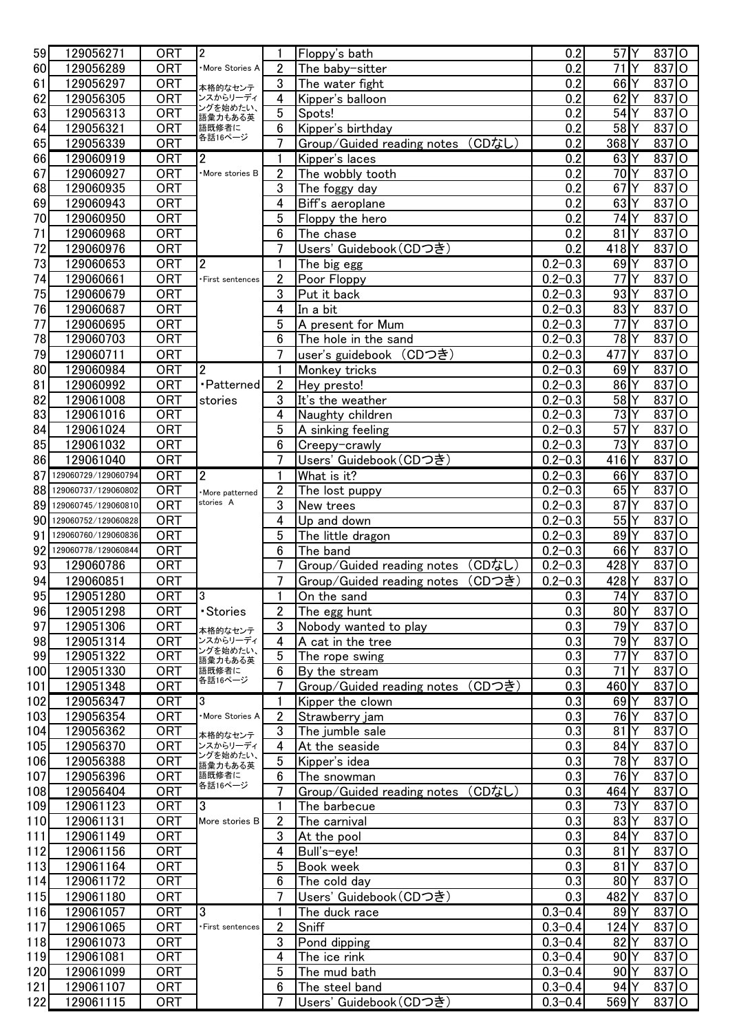| 59  | 129056271              | <b>ORT</b> | $\overline{2}$       | 1                | Floppy's bath                        | 0.2         | $57$ <sup>Y</sup> |    | 837 O                |         |
|-----|------------------------|------------|----------------------|------------------|--------------------------------------|-------------|-------------------|----|----------------------|---------|
| 60  | 129056289              | <b>ORT</b> | More Stories A       | $\overline{2}$   | The baby-sitter                      | 0.2         | $\overline{71}$   |    | 837                  | ΙO      |
|     |                        |            |                      |                  |                                      |             |                   |    |                      |         |
| 61  | 129056297              | <b>ORT</b> | 本格的なセンテ              | 3                | The water fight                      | 0.2         | 66                |    | 837                  | O       |
| 62  | 129056305              | <b>ORT</b> | ンスからリーディ<br>ングを始めたい、 | 4                | Kipper's balloon                     | 0.2         | 62                |    | 837                  | lO      |
| 63  | 129056313              | <b>ORT</b> | 語彙力もある英              | 5                | Spots!                               | 0.2         | 54                |    | 837                  | lO      |
| 64  | 129056321              | <b>ORT</b> | 語既修者に                | 6                | Kipper's birthday                    | 0.2         | 58                |    | 837                  | O       |
| 65  | 129056339              | <b>ORT</b> | 各話16ページ              | $\overline{7}$   | Group/Guided reading notes<br>(CDなし) | 0.2         | 368               |    | 837                  | lO      |
| 66  | 129060919              | <b>ORT</b> | 2                    | 1                | Kipper's laces                       | 0.2         | 63                |    | 837 O                |         |
| 67  | 129060927              | <b>ORT</b> | More stories B       | $\boldsymbol{2}$ | The wobbly tooth                     | 0.2         | 70                |    | $837$ O              |         |
|     |                        |            |                      |                  |                                      |             |                   |    |                      |         |
| 68  | 129060935              | <b>ORT</b> |                      | 3                | The foggy day                        | 0.2         | 67                |    | $837$ $\overline{O}$ |         |
| 69  | 129060943              | <b>ORT</b> |                      | 4                | Biff's aeroplane                     | 0.2         | 63                |    | $837$ O              |         |
| 70  | 129060950              | <b>ORT</b> |                      | 5                | Floppy the hero                      | 0.2         | 74                |    | $837$ O              |         |
| 71  | 129060968              | <b>ORT</b> |                      | $6\phantom{1}$   | The chase                            | 0.2         | 81                |    | $837$ O              |         |
| 72  | 129060976              | <b>ORT</b> |                      | $\overline{7}$   | Users' Guidebook (CDつき)              | 0.2         | 418               | Y  | 837 O                |         |
| 73  | 129060653              | <b>ORT</b> | $\mathbf{2}$         | 1                | The big egg                          | $0.2 - 0.3$ | 69                |    | $837$ O              |         |
|     |                        |            |                      |                  |                                      |             |                   | Υ  |                      |         |
| 74  | 129060661              | <b>ORT</b> | First sentences      | $\overline{2}$   | Poor Floppy                          | $0.2 - 0.3$ | 77                |    | 837 O                |         |
| 75  | 129060679              | <b>ORT</b> |                      | 3                | Put it back                          | $0.2 - 0.3$ | 93                |    | $837$ O              |         |
| 76  | 129060687              | <b>ORT</b> |                      | 4                | In a bit                             | $0.2 - 0.3$ | 83                |    | 837                  | lo      |
| 77  | 129060695              | <b>ORT</b> |                      | 5                | A present for Mum                    | $0.2 - 0.3$ | 77                |    | 837                  | O       |
| 78  | 129060703              | <b>ORT</b> |                      | 6                | The hole in the sand                 | $0.2 - 0.3$ | 78                |    | 837                  | O       |
| 79  | 129060711              | <b>ORT</b> |                      | 7                | user's guidebook (CDつき)              | $0.2 - 0.3$ | 477               | Υ  | $837$ O              |         |
|     |                        |            |                      |                  |                                      |             |                   |    |                      |         |
| 80  | 129060984              | <b>ORT</b> | 2                    | 1                | Monkey tricks                        | $0.2 - 0.3$ | 69                |    | 837                  | $\circ$ |
| 81  | 129060992              | <b>ORT</b> | • Patterned          | $\overline{2}$   | Hey presto!                          | $0.2 - 0.3$ | 86                |    | 837                  | O       |
| 82  | 129061008              | <b>ORT</b> | stories              | 3                | It's the weather                     | $0.2 - 0.3$ | 58                |    | 837                  | lO      |
| 83  | 129061016              | <b>ORT</b> |                      | 4                | Naughty children                     | $0.2 - 0.3$ | 73                |    | 837                  | $\circ$ |
| 84  | 129061024              | ORT        |                      | 5                | A sinking feeling                    | $0.2 - 0.3$ | 57                |    | 837                  | lO      |
| 85  | 129061032              | <b>ORT</b> |                      | 6                | Creepy-crawly                        | $0.2 - 0.3$ | 73                |    | 837                  | O       |
| 86  | 129061040              | ORT        |                      | $\overline{7}$   | Users' Guidebook (CDつき)              | $0.2 - 0.3$ | 416Y              |    | $837$ O              |         |
|     | 129060729/129060794    |            |                      |                  |                                      |             |                   |    |                      |         |
| 87  |                        | <b>ORT</b> | $\overline{2}$       | 1                | What is it?                          | $0.2 - 0.3$ | 66                |    | $837$ O              |         |
| 88  | 129060737/129060802    | <b>ORT</b> | More patterned       | $\overline{2}$   | The lost puppy                       | $0.2 - 0.3$ | 65                |    | $837$ O              |         |
|     | 89 129060745/129060810 | <b>ORT</b> | stories A            | 3                | New trees                            | $0.2 - 0.3$ | 87                |    | 837 O                |         |
|     | 90 129060752/129060828 | <b>ORT</b> |                      | 4                | Up and down                          | $0.2 - 0.3$ | 55                |    | $837$ O              |         |
| 91  | 129060760/129060836    | <b>ORT</b> |                      | 5                | The little dragon                    | $0.2 - 0.3$ | 89                |    | $837$ O              |         |
|     | 92 129060778/129060844 | <b>ORT</b> |                      | 6                | The band                             | $0.2 - 0.3$ | 66                | Y  | 837 O                |         |
| 93  | 129060786              | <b>ORT</b> |                      | 7                | (CDなし)<br>Group/Guided reading notes | $0.2 - 0.3$ | 428               | ٧  | 837 O                |         |
| 94  | 129060851              | <b>ORT</b> |                      | 7                | (CDつき)<br>Group/Guided reading notes | $0.2 - 0.3$ | 428               |    | $837$ O              |         |
|     | 129051280              | <b>ORT</b> | 3                    | $\blacksquare$   |                                      | 0.3         | 74Y               |    | $837$ O              |         |
| 95  |                        |            |                      |                  | On the sand                          |             |                   |    |                      |         |
| 96  | 129051298              | <b>ORT</b> | · Stories            | $\overline{2}$   | The egg hunt                         | 0.3         | 80                | ΙY | 837 O                |         |
| 97  | 129051306              | <b>ORT</b> | 本格的なセンテ              | 3                | Nobody wanted to play                | 0.3         | 79Y               |    | 837 O                |         |
| 98  | 129051314              | <b>ORT</b> | ンスからリーディ             | 4                | A cat in the tree                    | 0.3         | 79                |    | 837 O                |         |
| 99  | 129051322              | ORT        | ングを始めたい、<br>語彙力もある英  | 5                | The rope swing                       | 0.3         | 77                |    | 837                  | IО      |
| 100 | 129051330              | <b>ORT</b> | 語既修者に                | 6                | By the stream                        | 0.3         | 71                |    | 837                  | O       |
| 101 | 129051348              | <b>ORT</b> | 各話16ページ              | $\overline{7}$   | Group/Guided reading notes (CDつき)    | 0.3         | 460               |    | 837                  | O       |
| 102 | 129056347              | <b>ORT</b> | 3                    | 1                | Kipper the clown                     | 0.3         | 69                |    | 837                  | O       |
| 103 | 129056354              | <b>ORT</b> | More Stories A       | $\overline{2}$   |                                      | 0.3         | 76                |    | 837                  | O       |
|     |                        |            |                      |                  | Strawberry jam                       |             |                   |    |                      |         |
| 104 | 129056362              | <b>ORT</b> | 本格的なセンテ              | 3                | The jumble sale                      | 0.3         | 81                |    | $837$ O              |         |
| 105 | 129056370              | <b>ORT</b> | ンスからリーディ<br>ングを始めたい、 | 4                | At the seaside                       | 0.3         | 84                |    | $837$ O              |         |
| 106 | 129056388              | <b>ORT</b> | 語彙力もある英              | 5                | Kipper's idea                        | 0.3         | 78                |    | $837$ O              |         |
| 107 | 129056396              | <b>ORT</b> | 語既修者に                | 6                | The snowman                          | 0.3         | 76Y               |    | $837$ O              |         |
| 108 | 129056404              | <b>ORT</b> | 各話16ページ              | $\overline{7}$   | Group/Guided reading notes (CDなし)    | 0.3         | 464Y              |    | $837$ O              |         |
| 109 | 129061123              | <b>ORT</b> | 3                    | 1                | The barbecue                         | 0.3         | 73Y               |    | $837$ O              |         |
| 110 | 129061131              | <b>ORT</b> | More stories B       | $\overline{2}$   | The carnival                         | 0.3         | 83                |    | 837 O                |         |
| 111 | 129061149              | <b>ORT</b> |                      | 3                | At the pool                          | 0.3         | 84                |    | 837 O                |         |
|     |                        |            |                      |                  |                                      | 0.3         |                   |    | 837 O                |         |
| 112 | 129061156              | <b>ORT</b> |                      | 4                | Bull's-eye!                          |             | 81                |    |                      |         |
| 113 | 129061164              | <b>ORT</b> |                      | 5                | Book week                            | 0.3         | 81                |    | 837 O                |         |
| 114 | 129061172              | <b>ORT</b> |                      | 6                | The cold day                         | 0.3         | 80 <sup>Y</sup>   |    | 837 O                |         |
| 115 | 129061180              | <b>ORT</b> |                      | 7                | Users' Guidebook (CDつき)              | 0.3         | 482 Y             |    | 837 O                |         |
| 116 | 129061057              | <b>ORT</b> | 3                    | 1                | The duck race                        | $0.3 - 0.4$ | 89Y               |    | 837 O                |         |
| 117 | 129061065              | <b>ORT</b> | First sentences      | $\overline{2}$   | Sniff                                | $0.3 - 0.4$ | 124Y              |    | 837 O                |         |
| 118 | 129061073              | <b>ORT</b> |                      | 3                | Pond dipping                         | $0.3 - 0.4$ | 82                |    | 837 O                |         |
| 119 | 129061081              | <b>ORT</b> |                      | 4                | The ice rink                         | $0.3 - 0.4$ | 90                |    | 837 O                |         |
|     |                        |            |                      |                  |                                      |             |                   |    |                      |         |
| 120 | 129061099              | <b>ORT</b> |                      | 5                | The mud bath                         | $0.3 - 0.4$ | 90                |    | 837 O                |         |
| 121 | 129061107              | <b>ORT</b> |                      | 6                | The steel band                       | $0.3 - 0.4$ | 94                |    | 837 O                |         |
| 122 | 129061115              | <b>ORT</b> |                      | 7                | Users' Guidebook (CDつき)              | $0.3 - 0.4$ | 569               |    | 837 O                |         |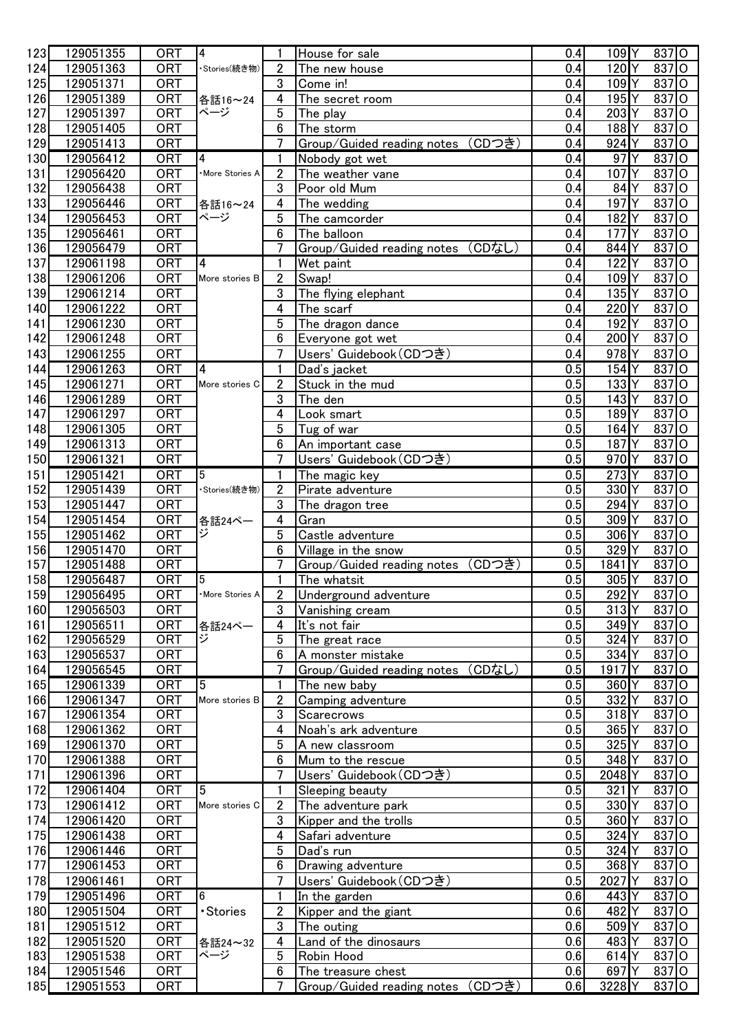| 123 | 129051355 | <b>ORT</b> | $\overline{4}$  |                         | House for sale                       | 0.4 | $109$ <sup>Y</sup> |    | 837 O                |         |
|-----|-----------|------------|-----------------|-------------------------|--------------------------------------|-----|--------------------|----|----------------------|---------|
| 124 | 129051363 | <b>ORT</b> | ·Stories(続き物)   | $\overline{2}$          | The new house                        | 0.4 | 120                | ΙY | 837 O                |         |
| 125 | 129051371 | <b>ORT</b> |                 | 3                       | Come in!                             | 0.4 | 109                | Y  | $837$ O              |         |
| 126 | 129051389 | <b>ORT</b> | 各話16~24         | 4                       | The secret room                      | 0.4 | 195                | Υ  | $837$ O              |         |
| 127 | 129051397 | <b>ORT</b> | ページ             | 5                       | The play                             | 0.4 | 203                |    | $837$ O              |         |
| 128 | 129051405 | <b>ORT</b> |                 | 6                       | The storm                            | 0.4 | 188                |    | $837$ O              |         |
| 129 | 129051413 | <b>ORT</b> |                 | $\overline{7}$          | Group/Guided reading notes (CDつき)    | 0.4 | 924                |    | 837 O                |         |
| 130 | 129056412 | <b>ORT</b> | 4               | 1                       | Nobody got wet                       | 0.4 | 97                 |    | 837 O                |         |
| 131 | 129056420 | <b>ORT</b> | More Stories A  | $\overline{2}$          | The weather vane                     | 0.4 | 107                |    | 837                  | l0      |
| 132 | 129056438 | <b>ORT</b> |                 | 3                       | Poor old Mum                         | 0.4 | 84                 |    | 837                  | lO      |
| 133 | 129056446 | <b>ORT</b> |                 | 4                       |                                      | 0.4 | 197                |    | 837                  | l0      |
|     |           |            | 各話16~24<br>ページ  |                         | The wedding                          |     |                    |    |                      |         |
| 134 | 129056453 | <b>ORT</b> |                 | 5                       | The camcorder                        | 0.4 | 182                |    | $837$ O              |         |
| 135 | 129056461 | <b>ORT</b> |                 | 6                       | The balloon                          | 0.4 | 177                |    | 837 O                |         |
| 136 | 129056479 | <b>ORT</b> |                 | $\overline{7}$          | Group/Guided reading notes (CDなし)    | 0.4 | 844                |    | $837$ O              |         |
| 137 | 129061198 | <b>ORT</b> | $\overline{4}$  | 1                       | Wet paint                            | 0.4 | 122                |    | $837$ O              |         |
| 138 | 129061206 | <b>ORT</b> | More stories B  | $\overline{2}$          | Swap!                                | 0.4 | 109                |    | $837$ O              |         |
| 139 | 129061214 | <b>ORT</b> |                 | 3                       | The flying elephant                  | 0.4 | 135                | Y  | 837 O                |         |
| 140 | 129061222 | <b>ORT</b> |                 | 4                       | The scarf                            | 0.4 | 220                |    | $837$ O              |         |
| 141 | 129061230 | <b>ORT</b> |                 | 5                       | The dragon dance                     | 0.4 | 192                |    | 837 O                |         |
| 142 | 129061248 | <b>ORT</b> |                 | $\boldsymbol{6}$        | Everyone got wet                     | 0.4 | 200                |    | $837$ O              |         |
| 143 | 129061255 | <b>ORT</b> |                 | $\overline{7}$          | Users' Guidebook (CDつき)              | 0.4 | 978                | Υ  | $837$ O              |         |
| 144 | 129061263 | <b>ORT</b> | 4               | 1                       | Dad's jacket                         | 0.5 | 154Y               |    | $837$ <sup>O</sup>   |         |
| 145 | 129061271 | <b>ORT</b> | More stories C  | $\boldsymbol{2}$        | Stuck in the mud                     | 0.5 | 133                |    | 837 O                |         |
| 146 | 129061289 | <b>ORT</b> |                 | 3                       | The den                              | 0.5 | 143                |    | $837$ O              |         |
| 147 | 129061297 | <b>ORT</b> |                 | 4                       | Look smart                           | 0.5 | 189                |    | $837$ O              |         |
| 148 | 129061305 | <b>ORT</b> |                 | 5                       | Tug of war                           | 0.5 | 164                |    | $837$ O              |         |
| 149 | 129061313 | <b>ORT</b> |                 | 6                       | An important case                    | 0.5 | 187                |    | $837$ O              |         |
| 150 |           | <b>ORT</b> |                 | $\overline{7}$          | Users' Guidebook (CDつき)              | 0.5 | 970                |    | 837 O                |         |
|     | 129061321 |            |                 |                         |                                      |     |                    |    |                      |         |
| 151 | 129051421 | <b>ORT</b> | 5               | 1                       | The magic key                        | 0.5 | 273                |    | 837                  | $\circ$ |
| 152 | 129051439 | <b>ORT</b> | ・Stories(続き物)   | $\mathbf{2}$            | Pirate adventure                     | 0.5 | 330                |    | 837                  | $\circ$ |
| 153 | 129051447 | <b>ORT</b> |                 | 3                       | The dragon tree                      | 0.5 | 294                |    | $837$ O              |         |
| 154 | 129051454 | <b>ORT</b> | 各話24ペー          | 4                       | Gran                                 | 0.5 | 309                |    | 837 O                |         |
| 155 | 129051462 | <b>ORT</b> | ジ               | 5                       | Castle adventure                     | 0.5 | 306                |    | 837 O                |         |
| 156 | 129051470 | <b>ORT</b> |                 | 6                       | Village in the snow                  | 0.5 | 329                |    | $837$ O              |         |
| 157 | 129051488 | <b>ORT</b> |                 | $\overline{7}$          | Group/Guided reading notes (CDつき)    | 0.5 | 1841               |    | $837$ O              |         |
| 158 | 129056487 | <b>ORT</b> | $5\overline{)}$ | 1                       | The whatsit                          | 0.5 | 305 Y              |    | $837$ O              |         |
| 159 | 129056495 | <b>ORT</b> | ·More Stories A | $\overline{2}$          | Underground adventure                | 0.5 | 292 Y              |    | 837 O                |         |
| 160 | 129056503 | <b>ORT</b> |                 | 3                       | Vanishing cream                      | 0.5 | 313Y               |    | $837$ O              |         |
| 161 | 129056511 | <b>ORT</b> | 各話24ペー          | $\overline{\mathbf{4}}$ | It's not fair                        | 0.5 | 349                |    | 837 O                |         |
| 162 | 129056529 | <b>ORT</b> | ジ               | $\overline{5}$          | The great race                       | 0.5 | 324                |    | $837$ O              |         |
| 163 | 129056537 | <b>ORT</b> |                 | 6                       | A monster mistake                    | 0.5 | 334 Y              |    | $837$ O              |         |
| 164 | 129056545 | <b>ORT</b> |                 | $\overline{7}$          | Group/Guided reading notes (CDなし)    | 0.5 | 1917Y              |    | $837$ O              |         |
| 165 | 129061339 | <b>ORT</b> | 5               | $\mathbf{1}$            | The new baby                         | 0.5 | 360 <sup>Y</sup>   |    | $837$ O              |         |
| 166 | 129061347 | <b>ORT</b> | More stories B  | $\boldsymbol{2}$        | Camping adventure                    | 0.5 | 332Y               |    | $837$ O              |         |
| 167 | 129061354 | <b>ORT</b> |                 | $\overline{3}$          | Scarecrows                           | 0.5 | $318$ $Y$          |    | $837$ O              |         |
| 168 | 129061362 | <b>ORT</b> |                 | $\overline{4}$          | Noah's ark adventure                 | 0.5 | 365                |    | $837$ O              |         |
| 169 | 129061370 | <b>ORT</b> |                 | 5                       | A new classroom                      | 0.5 | 325                |    | $837$ $\overline{O}$ |         |
| 170 | 129061388 | <b>ORT</b> |                 | 6                       | Mum to the rescue                    | 0.5 | 348 Y              |    | 837 O                |         |
| 171 | 129061396 | <b>ORT</b> |                 | 7                       | Users' Guidebook (CDつき)              | 0.5 | 2048               |    | $837$ O              |         |
| 172 | 129061404 | <b>ORT</b> | 15              | 1                       | Sleeping beauty                      | 0.5 | 321                |    | $837$ O              |         |
| 173 | 129061412 | <b>ORT</b> | More stories C  | $\overline{2}$          |                                      | 0.5 | 330                |    | $837$ O              |         |
|     |           |            |                 |                         | The adventure park                   |     |                    |    |                      |         |
| 174 | 129061420 | <b>ORT</b> |                 | $\mathbf 3$             | Kipper and the trolls                | 0.5 | 360Y               |    | $837$ O              |         |
| 175 | 129061438 | <b>ORT</b> |                 | $\overline{4}$          | Safari adventure                     | 0.5 | 324                |    | $837$ O              |         |
| 176 | 129061446 | <b>ORT</b> |                 | $5\phantom{.0}$         | Dad's run                            | 0.5 | 324                |    | $837$ O              |         |
| 177 | 129061453 | <b>ORT</b> |                 | 6                       | Drawing adventure                    | 0.5 | 368                |    | $837$ O              |         |
| 178 | 129061461 | <b>ORT</b> |                 | $\overline{7}$          | Users' Guidebook (CDつき)              | 0.5 | 2027 Y             |    | $837$ O              |         |
| 179 | 129051496 | <b>ORT</b> | 6               | $\mathbf{1}$            | In the garden                        | 0.6 | 443 Y              |    | $837$ O              |         |
| 180 | 129051504 | <b>ORT</b> | · Stories       | $\overline{2}$          | Kipper and the giant                 | 0.6 | 482 Y              |    | 837 O                |         |
| 181 | 129051512 | <b>ORT</b> |                 | $\mathfrak{3}$          | The outing                           | 0.6 | 509                | Y  | 837 O                |         |
| 182 | 129051520 | <b>ORT</b> | 各話24~32         | $\overline{\mathbf{4}}$ | Land of the dinosaurs                | 0.6 | 483 <sup>Y</sup>   |    | $837$ $\overline{O}$ |         |
| 183 | 129051538 | <b>ORT</b> | ページ             | 5                       | Robin Hood                           | 0.6 | 614 <sub>Y</sub>   |    | $837$ $\overline{O}$ |         |
| 184 | 129051546 | <b>ORT</b> |                 | 6                       | The treasure chest                   | 0.6 | 697Y               |    | 837 O                |         |
| 185 | 129051553 | ORT        |                 | 7                       | (CDつき)<br>Group/Guided reading notes | 0.6 | 3228 Y             |    | $837$ O              |         |